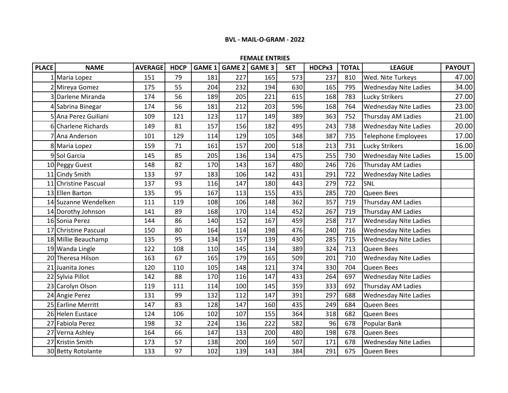## **FEMALE ENTRIES**

| <b>PLACE</b> | <b>NAME</b>          | <b>AVERAGE</b> | <b>HDCP</b> | <b>GAME 1</b> | <b>GAME 2</b> | <b>GAME 3</b> | <b>SET</b> | HDCPx3 | <b>TOTAL</b> | <b>LEAGUE</b>                | <b>PAYOUT</b> |
|--------------|----------------------|----------------|-------------|---------------|---------------|---------------|------------|--------|--------------|------------------------------|---------------|
|              | 1 Maria Lopez        | 151            | 79          | 181           | 227           | 165           | 573        | 237    | 810          | Wed. Nite Turkeys            | 47.00         |
|              | 2 Mireya Gomez       | 175            | 55          | 204           | 232           | 194           | 630        | 165    | 795          | <b>Wednesday Nite Ladies</b> | 34.00         |
|              | 3 Darlene Miranda    | 174            | 56          | 189           | 205           | 221           | 615        | 168    | 783          | <b>Lucky Strikers</b>        | 27.00         |
|              | 4 Sabrina Binegar    | 174            | 56          | 181           | 212           | 203           | 596        | 168    | 764          | <b>Wednesday Nite Ladies</b> | 23.00         |
|              | 5 Ana Perez Guiliani | 109            | 121         | 123           | 117           | 149           | 389        | 363    | 752          | Thursday AM Ladies           | 21.00         |
|              | 6 Charlene Richards  | 149            | 81          | 157           | 156           | 182           | 495        | 243    | 738          | <b>Wednesday Nite Ladies</b> | 20.00         |
|              | 7 Ana Anderson       | 101            | 129         | 114           | 129           | 105           | 348        | 387    | 735          | Telephone Employees          | 17.00         |
|              | 8 Maria Lopez        | 159            | 71          | 161           | 157           | 200           | 518        | 213    | 731          | Lucky Strikers               | 16.00         |
|              | 9 Sol Garcia         | 145            | 85          | 205           | 136           | 134           | 475        | 255    | 730          | <b>Wednesday Nite Ladies</b> | 15.00         |
|              | 10 Peggy Guest       | 148            | 82          | 170           | 143           | 167           | 480        | 246    | 726          | Thursday AM Ladies           |               |
|              | 11 Cindy Smith       | 133            | 97          | 183           | 106           | 142           | 431        | 291    | 722          | <b>Wednesday Nite Ladies</b> |               |
|              | 11 Christine Pascual | 137            | 93          | 116           | 147           | 180           | 443        | 279    | 722          | SNL                          |               |
|              | 13 Ellen Barton      | 135            | 95          | 167           | 113           | 155           | 435        | 285    | 720          | Queen Bees                   |               |
|              | 14 Suzanne Wendelken | 111            | 119         | 108           | 106           | 148           | 362        | 357    | 719          | Thursday AM Ladies           |               |
|              | 14 Dorothy Johnson   | 141            | 89          | 168           | 170           | 114           | 452        | 267    | 719          | <b>Thursday AM Ladies</b>    |               |
|              | 16 Sonia Perez       | 144            | 86          | 140           | 152           | 167           | 459        | 258    | 717          | <b>Wednesday Nite Ladies</b> |               |
|              | 17 Christine Pascual | 150            | 80          | 164           | 114           | 198           | 476        | 240    | 716          | <b>Wednesday Nite Ladies</b> |               |
|              | 18 Millie Beauchamp  | 135            | 95          | 134           | 157           | 139           | 430        | 285    | 715          | <b>Wednesday Nite Ladies</b> |               |
|              | 19 Wanda Lingle      | 122            | 108         | 110           | 145           | 134           | 389        | 324    | 713          | Queen Bees                   |               |
|              | 20 Theresa Hilson    | 163            | 67          | 165           | 179           | 165           | 509        | 201    | 710          | <b>Wednesday Nite Ladies</b> |               |
|              | 21 Juanita Jones     | 120            | 110         | 105           | 148           | 121           | 374        | 330    | 704          | Queen Bees                   |               |
|              | 22 Sylvia Pillot     | 142            | 88          | 170           | 116           | 147           | 433        | 264    | 697          | <b>Wednesday Nite Ladies</b> |               |
|              | 23 Carolyn Olson     | 119            | 111         | 114           | 100           | 145           | 359        | 333    | 692          | Thursday AM Ladies           |               |
|              | 24 Angie Perez       | 131            | 99          | 132           | 112           | 147           | 391        | 297    | 688          | <b>Wednesday Nite Ladies</b> |               |
|              | 25 Earline Merritt   | 147            | 83          | 128           | 147           | 160           | 435        | 249    | 684          | Queen Bees                   |               |
|              | 26 Helen Eustace     | 124            | 106         | 102           | 107           | 155           | 364        | 318    | 682          | Queen Bees                   |               |
|              | 27 Fabiola Perez     | 198            | 32          | 224           | 136           | 222           | 582        | 96     | 678          | Popular Bank                 |               |
|              | 27 Verna Ashley      | 164            | 66          | 147           | 133           | 200           | 480        | 198    | 678          | Queen Bees                   |               |
|              | 27 Kristin Smith     | 173            | 57          | 138           | 200           | 169           | 507        | 171    | 678          | <b>Wednesday Nite Ladies</b> |               |
|              | 30 Betty Rotolante   | 133            | 97          | 102           | 139           | 143           | 384        | 291    | 675          | Queen Bees                   |               |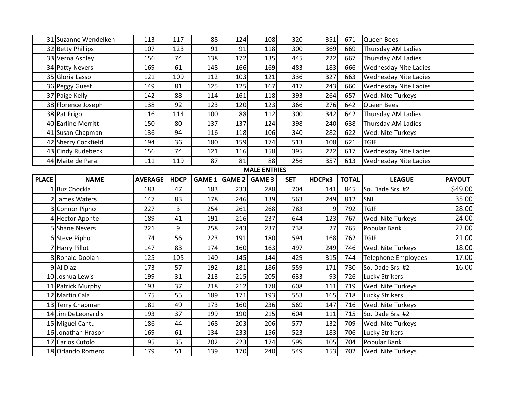|              | 31 Suzanne Wendelken | 113            | 117         | 88     | 124           | 108                 | 320        | 351    | 671          | Queen Bees                   |               |
|--------------|----------------------|----------------|-------------|--------|---------------|---------------------|------------|--------|--------------|------------------------------|---------------|
|              | 32 Betty Phillips    | 107            | 123         | 91     | 91            | 118                 | 300        | 369    | 669          | Thursday AM Ladies           |               |
|              | 33 Verna Ashley      | 156            | 74          | 138    | 172           | 135                 | 445        | 222    | 667          | Thursday AM Ladies           |               |
|              | 34 Patty Nevers      | 169            | 61          | 148    | 166           | 169                 | 483        | 183    | 666          | <b>Wednesday Nite Ladies</b> |               |
|              | 35 Gloria Lasso      | 121            | 109         | 112    | 103           | 121                 | 336        | 327    | 663          | <b>Wednesday Nite Ladies</b> |               |
|              | 36 Peggy Guest       | 149            | 81          | 125    | 125           | 167                 | 417        | 243    | 660          | <b>Wednesday Nite Ladies</b> |               |
|              | 37 Paige Kelly       | 142            | 88          | 114    | 161           | 118                 | 393        | 264    | 657          | Wed. Nite Turkeys            |               |
|              | 38 Florence Joseph   | 138            | 92          | 123    | 120           | 123                 | 366        | 276    | 642          | Queen Bees                   |               |
|              | 38 Pat Frigo         | 116            | 114         | 100    | 88            | 112                 | 300        | 342    | 642          | Thursday AM Ladies           |               |
|              | 40 Earline Merritt   | 150            | 80          | 137    | 137           | 124                 | 398        | 240    | 638          | Thursday AM Ladies           |               |
|              | 41 Susan Chapman     | 136            | 94          | 116    | 118           | 106                 | 340        | 282    | 622          | Wed. Nite Turkeys            |               |
|              | 42 Sherry Cockfield  | 194            | 36          | 180    | 159           | 174                 | 513        | 108    | 621          | <b>TGIF</b>                  |               |
|              | 43 Cindy Rudebeck    | 156            | 74          | 121    | 116           | 158                 | 395        | 222    | 617          | <b>Wednesday Nite Ladies</b> |               |
|              | 44 Maite de Para     | 111            | 119         | 87     | 81            | 88                  | 256        | 357    | 613          | <b>Wednesday Nite Ladies</b> |               |
|              |                      |                |             |        |               | <b>MALE ENTRIES</b> |            |        |              |                              |               |
| <b>PLACE</b> | <b>NAME</b>          | <b>AVERAGE</b> | <b>HDCP</b> | GAME 1 | <b>GAME 2</b> | <b>GAME 3</b>       | <b>SET</b> | HDCPx3 | <b>TOTAL</b> | <b>LEAGUE</b>                | <b>PAYOUT</b> |
|              | Buz Chockla          | 183            | 47          | 183    | 233           | 288                 | 704        | 141    | 845          | So. Dade Srs. #2             | \$49.00       |
|              | 2 James Waters       | 147            | 83          | 178    | 246           | 139                 | 563        | 249    | 812          | SNL                          | 35.00         |
|              | 3 Connor Pipho       | 227            | 3           | 254    | 261           | 268                 | 783        | 9      | 792          | <b>TGIF</b>                  | 28.00         |
|              | 4 Hector Aponte      | 189            | 41          | 191    | 216           | 237                 | 644        | 123    | 767          | Wed. Nite Turkeys            | 24.00         |
|              | 5 Shane Nevers       | 221            | 9           | 258    | 243           | 237                 | 738        | 27     | 765          | Popular Bank                 | 22.00         |
|              | 6 Steve Pipho        | 174            | 56          | 223    | 191           | 180                 | 594        | 168    | 762          | <b>TGIF</b>                  | 21.00         |
|              | 7 Harry Pillot       | 147            | 83          | 174    | 160           | 163                 | 497        | 249    | 746          | Wed. Nite Turkeys            | 18.00         |
|              | 8 Ronald Doolan      | 125            | 105         | 140    | 145           | 144                 | 429        | 315    | 744          | <b>Telephone Employees</b>   | 17.00         |
|              | 9 Al Diaz            | 173            | 57          | 192    | 181           | 186                 | 559        | 171    | 730          | So. Dade Srs. #2             | 16.00         |
|              | 10 Joshua Lewis      | 199            | 31          | 213    | 215           | 205                 | 633        | 93     | 726          | Lucky Strikers               |               |
|              | 11 Patrick Murphy    | 193            | 37          | 218    | 212           | 178                 | 608        | 111    | 719          | Wed. Nite Turkeys            |               |
|              | 12 Martin Cala       | 175            | 55          | 189    | 171           | 193                 | 553        | 165    | 718          | Lucky Strikers               |               |
|              | 13 Terry Chapman     | 181            | 49          | 173    | 160           | 236                 | 569        | 147    | 716          | Wed. Nite Turkeys            |               |
|              | 14 Jim DeLeonardis   | 193            | 37          | 199    | 190           | 215                 | 604        | 111    | 715          | So. Dade Srs. #2             |               |
|              | 15 Miguel Cantu      | 186            | 44          | 168    | 203           | 206                 | 577        | 132    | 709          | Wed. Nite Turkeys            |               |
|              | 16 Jonathan Hrasor   | 169            | 61          | 134    | 233           | 156                 | 523        | 183    | 706          | Lucky Strikers               |               |
|              | 17 Carlos Cutolo     | 195            | 35          | 202    | 223           | 174                 | 599        | 105    | 704          | Popular Bank                 |               |
|              | 18 Orlando Romero    | 179            | 51          | 139    | 170           | 240                 | 549        | 153    | 702          | Wed. Nite Turkeys            |               |
|              |                      |                |             |        |               |                     |            |        |              |                              |               |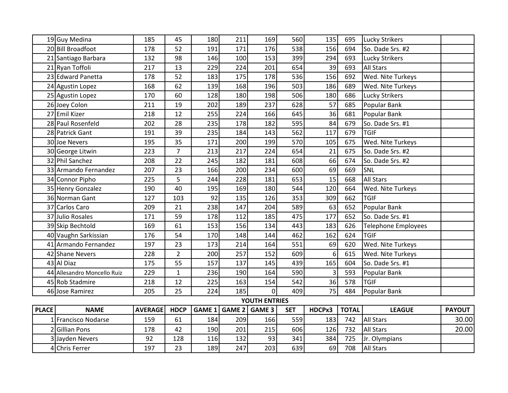|              | 19 Guy Medina               | 185            | 45             | 180           | 211 | 169            | 560        | 135              | 695          | <b>Lucky Strikers</b>      |               |
|--------------|-----------------------------|----------------|----------------|---------------|-----|----------------|------------|------------------|--------------|----------------------------|---------------|
|              | 20 Bill Broadfoot           | 178            | 52             | 191           | 171 | 176            | 538        | 156              | 694          | So. Dade Srs. #2           |               |
|              | 21 Santiago Barbara         | 132            | 98             | 146           | 100 | 153            | 399        | 294              | 693          | <b>Lucky Strikers</b>      |               |
|              | 21 Ryan Toffoli             | 217            | 13             | 229           | 224 | 201            | 654        | 39               | 693          | All Stars                  |               |
|              | 23 Edward Panetta           | 178            | 52             | 183           | 175 | 178            | 536        | 156              | 692          | Wed. Nite Turkeys          |               |
|              | 24 Agustin Lopez            | 168            | 62             | 139           | 168 | 196            | 503        | 186              | 689          | Wed. Nite Turkeys          |               |
|              | 25 Agustin Lopez            | 170            | 60             | 128           | 180 | 198            | 506        | 180              | 686          | <b>Lucky Strikers</b>      |               |
|              | 26 Joey Colon               | 211            | 19             | 202           | 189 | 237            | 628        | 57               | 685          | Popular Bank               |               |
|              | 27 Emil Kizer               | 218            | 12             | 255           | 224 | 166            | 645        | 36               | 681          | Popular Bank               |               |
|              | 28 Paul Rosenfeld           | 202            | 28             | 235           | 178 | 182            | 595        | 84               | 679          | So. Dade Srs. #1           |               |
|              | 28 Patrick Gant             | 191            | 39             | 235           | 184 | 143            | 562        | 117              | 679          | <b>TGIF</b>                |               |
|              | 30 Joe Nevers               | 195            | 35             | 171           | 200 | 199            | 570        | 105              | 675          | Wed. Nite Turkeys          |               |
|              | 30 George Litwin            | 223            | $\overline{7}$ | 213           | 217 | 224            | 654        | 21               | 675          | So. Dade Srs. #2           |               |
|              | 32 Phil Sanchez             | 208            | 22             | 245           | 182 | 181            | 608        | 66               | 674          | So. Dade Srs. #2           |               |
|              | 33 Armando Fernandez        | 207            | 23             | 166           | 200 | 234            | 600        | 69               | 669          | SNL                        |               |
|              | 34 Connor Pipho             | 225            | 5              | 244           | 228 | 181            | 653        | 15               | 668          | All Stars                  |               |
|              | 35 Henry Gonzalez           | 190            | 40             | 195           | 169 | 180            | 544        | 120              | 664          | Wed. Nite Turkeys          |               |
|              | 36 Norman Gant              | 127            | 103            | 92            | 135 | 126            | 353        | 309              | 662          | <b>TGIF</b>                |               |
|              | 37 Carlos Caro              | 209            | 21             | 238           | 147 | 204            | 589        | 63               | 652          | Popular Bank               |               |
|              | 37 Julio Rosales            | 171            | 59             | 178           | 112 | 185            | 475        | 177              | 652          | So. Dade Srs. #1           |               |
|              | 39 Skip Bechtold            | 169            | 61             | 153           | 156 | 134            | 443        | 183              | 626          | <b>Telephone Employees</b> |               |
|              | 40 Vaughn Sarkissian        | 176            | 54             | 170           | 148 | 144            | 462        | 162              | 624          | <b>TGIF</b>                |               |
|              | 41 Armando Fernandez        | 197            | 23             | 173           | 214 | 164            | 551        | 69               | 620          | Wed. Nite Turkeys          |               |
|              | 42 Shane Nevers             | 228            | $\overline{2}$ | 200           | 257 | 152            | 609        | $6 \overline{6}$ | 615          | Wed. Nite Turkeys          |               |
|              | 43 Al Diaz                  | 175            | 55             | 157           | 137 | 145            | 439        | 165              | 604          | So. Dade Srs. #1           |               |
|              | 44 Allesandro Moncello Ruiz | 229            | $\mathbf 1$    | 236           | 190 | 164            | 590        | 3                | 593          | Popular Bank               |               |
|              | 45 Rob Stadmire             | 218            | 12             | 225           | 163 | 154            | 542        | 36               | 578          | <b>TGIF</b>                |               |
|              | 46 Jose Ramirez             | 205            | 25             | 224           | 185 | $\overline{0}$ | 409        | 75               | 484          | Popular Bank               |               |
|              |                             |                |                |               |     | YOUTH ENTRIES  |            |                  |              |                            |               |
| <b>PLACE</b> | <b>NAME</b>                 | <b>AVERAGE</b> | <b>HDCP</b>    | <b>GAME 1</b> |     | GAME 2 GAME 3  | <b>SET</b> | HDCPx3           | <b>TOTAL</b> | <b>LEAGUE</b>              | <b>PAYOUT</b> |
|              | 1 Francisco Nodarse         | 159            | 61             | 184           | 209 | 166            | 559        | 183              | 742          | <b>All Stars</b>           | 30.00         |
|              | 2 Gillian Pons              | 178            | 42             | 190           | 201 | 215            | 606        | 126              | 732          | All Stars                  | 20.00         |
|              | 3 Jayden Nevers             | 92             | 128            | 116           | 132 | 93             | 341        | 384              | 725          | Jr. Olympians              |               |
|              | 4 Chris Ferrer              | 197            | 23             | 189           | 247 | 203            | 639        | 69               | 708          | <b>All Stars</b>           |               |